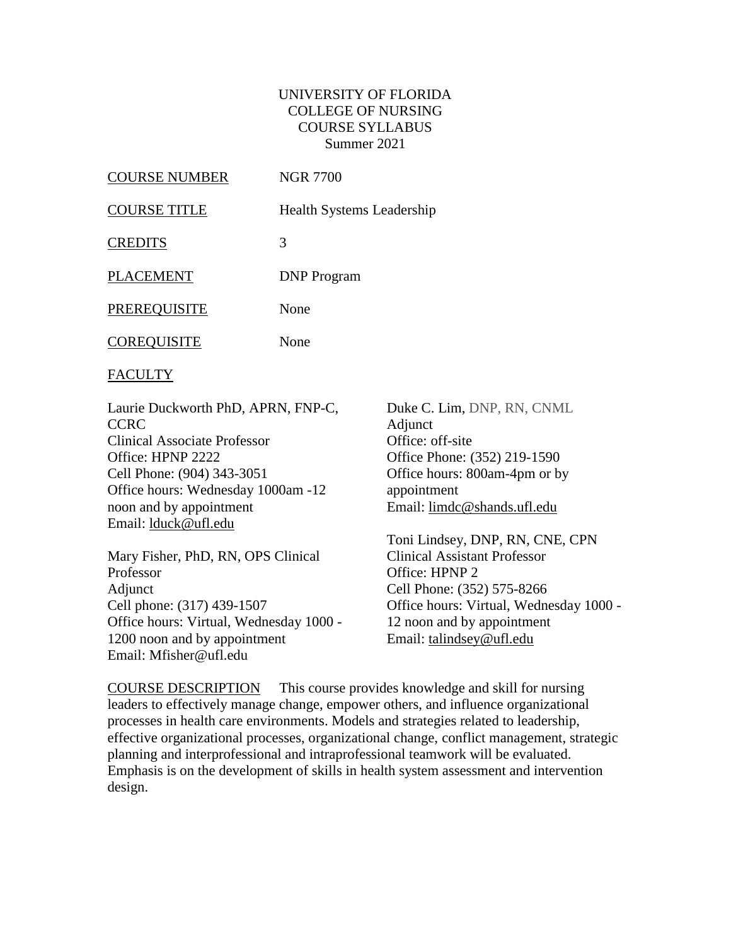### UNIVERSITY OF FLORIDA COLLEGE OF NURSING COURSE SYLLABUS Summer 2021

| COURSE NUMBER      | <b>NGR 7700</b>                  |
|--------------------|----------------------------------|
| COURSE TITLE       | <b>Health Systems Leadership</b> |
| <b>CREDITS</b>     | 3                                |
| PLACEMENT          | <b>DNP</b> Program               |
| PREREQUISITE       | None                             |
| <b>COREQUISITE</b> | None                             |
|                    |                                  |

FACULTY

Laurie Duckworth PhD, APRN, FNP-C, **CCRC** Clinical Associate Professor Office: HPNP 2222 Cell Phone: (904) 343-3051 Office hours: Wednesday 1000am -12 noon and by appointment Email: [lduck@ufl.edu](mailto:lduck@ufl.edu)

Mary Fisher, PhD, RN, OPS Clinical Professor Adjunct Cell phone: (317) 439-1507 Office hours: Virtual, Wednesday 1000 - 1200 noon and by appointment Email: Mfisher@ufl.edu

Duke C. Lim, DNP, RN, CNML **Adjunct** Office: off-site Office Phone: (352) 219-1590 Office hours: 800am-4pm or by appointment Email: [limdc@shands.ufl.edu](mailto:limdc@shands.ufl.edu)

Toni Lindsey, DNP, RN, CNE, CPN Clinical Assistant Professor Office: HPNP 2 Cell Phone: (352) 575-8266 Office hours: Virtual, Wednesday 1000 - 12 noon and by appointment Email: [talindsey@ufl.edu](mailto:talindsey@ufl.edu)

COURSE DESCRIPTION This course provides knowledge and skill for nursing leaders to effectively manage change, empower others, and influence organizational processes in health care environments. Models and strategies related to leadership, effective organizational processes, organizational change, conflict management, strategic planning and interprofessional and intraprofessional teamwork will be evaluated. Emphasis is on the development of skills in health system assessment and intervention design.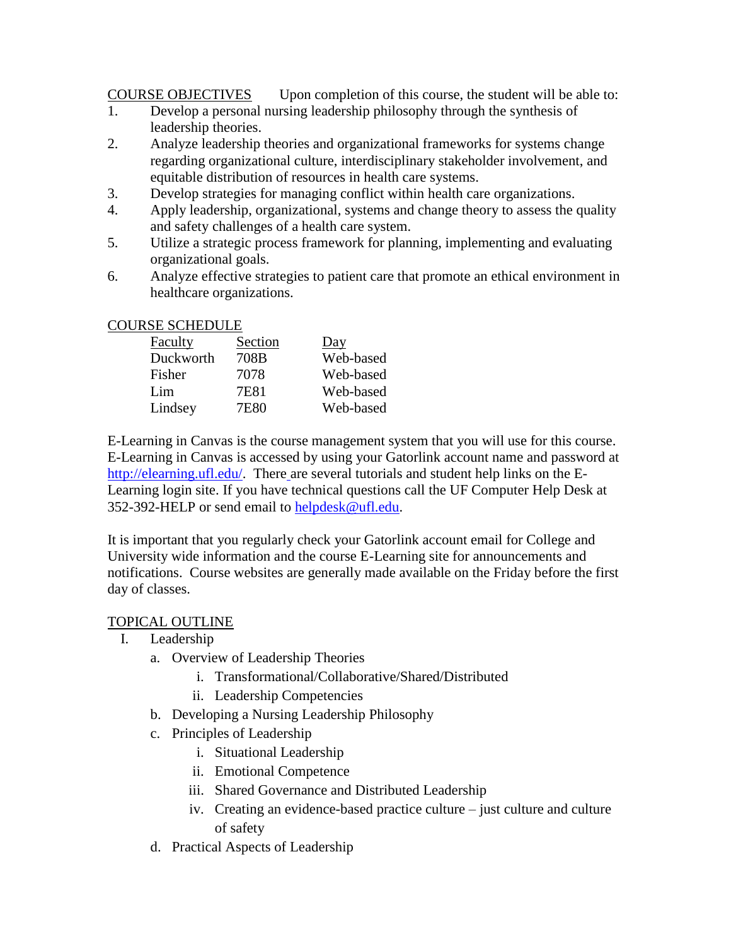COURSE OBJECTIVES Upon completion of this course, the student will be able to:

- 1. Develop a personal nursing leadership philosophy through the synthesis of leadership theories.
- 2. Analyze leadership theories and organizational frameworks for systems change regarding organizational culture, interdisciplinary stakeholder involvement, and equitable distribution of resources in health care systems.
- 3. Develop strategies for managing conflict within health care organizations.
- 4. Apply leadership, organizational, systems and change theory to assess the quality and safety challenges of a health care system.
- 5. Utilize a strategic process framework for planning, implementing and evaluating organizational goals.
- 6. Analyze effective strategies to patient care that promote an ethical environment in healthcare organizations.

### COURSE SCHEDULE

| Faculty   | Section | Day       |
|-----------|---------|-----------|
| Duckworth | 708B    | Web-based |
| Fisher    | 7078    | Web-based |
| Lim       | 7E81    | Web-based |
| Lindsey   | 7E80    | Web-based |

E-Learning in Canvas is the course management system that you will use for this course. E-Learning in Canvas is accessed by using your Gatorlink account name and password at [http://elearning.ufl.edu/.](http://elearning.ufl.edu/) There are several tutorials and student help links on the E-Learning login site. If you have technical questions call the UF Computer Help Desk at 352-392-HELP or send email to [helpdesk@ufl.edu.](mailto:helpdesk@ufl.edu)

It is important that you regularly check your Gatorlink account email for College and University wide information and the course E-Learning site for announcements and notifications. Course websites are generally made available on the Friday before the first day of classes.

### TOPICAL OUTLINE

- I. Leadership
	- a. Overview of Leadership Theories
		- i. Transformational/Collaborative/Shared/Distributed
		- ii. Leadership Competencies
	- b. Developing a Nursing Leadership Philosophy
	- c. Principles of Leadership
		- i. Situational Leadership
		- ii. Emotional Competence
		- iii. Shared Governance and Distributed Leadership
		- iv. Creating an evidence-based practice culture just culture and culture of safety
	- d. Practical Aspects of Leadership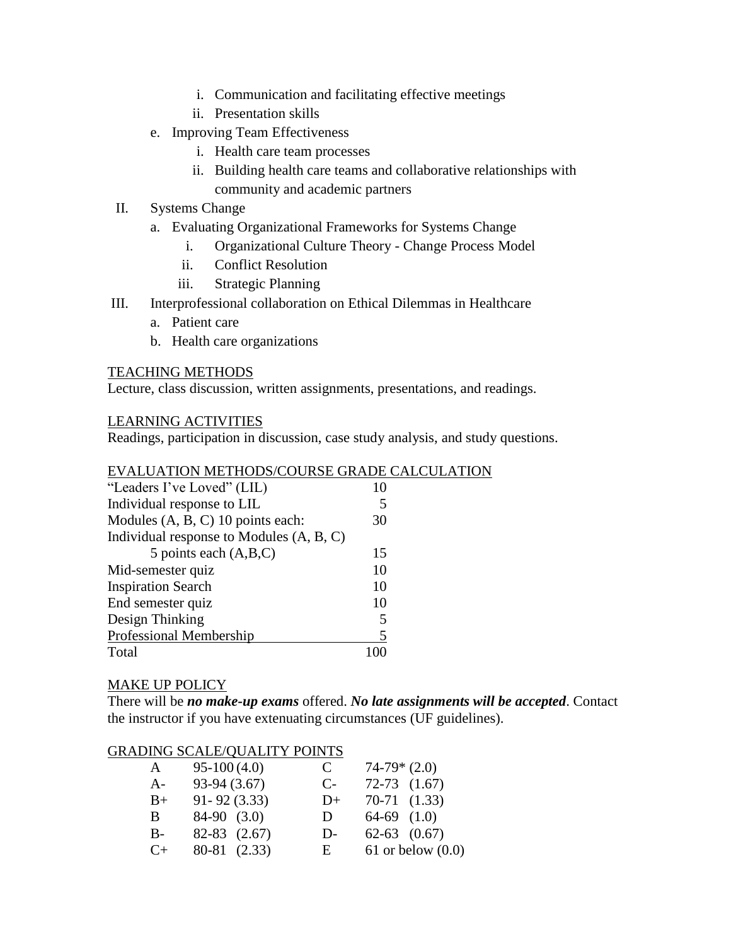- i. Communication and facilitating effective meetings
- ii. Presentation skills
- e. Improving Team Effectiveness
	- i. Health care team processes
	- ii. Building health care teams and collaborative relationships with community and academic partners
- II. Systems Change
	- a. Evaluating Organizational Frameworks for Systems Change
		- i. Organizational Culture Theory Change Process Model
		- ii. Conflict Resolution
		- iii. Strategic Planning
- III. Interprofessional collaboration on Ethical Dilemmas in Healthcare
	- a. Patient care
	- b. Health care organizations

#### TEACHING METHODS

Lecture, class discussion, written assignments, presentations, and readings.

#### LEARNING ACTIVITIES

Readings, participation in discussion, case study analysis, and study questions.

### EVALUATION METHODS/COURSE GRADE CALCULATION

| "Leaders I've Loved" (LIL)               |    |
|------------------------------------------|----|
| Individual response to LIL               | 5  |
| Modules (A, B, C) 10 points each:        | 30 |
| Individual response to Modules (A, B, C) |    |
| 5 points each $(A,B,C)$                  | 15 |
| Mid-semester quiz                        | 10 |
| <b>Inspiration Search</b>                | 10 |
| End semester quiz                        | 10 |
| Design Thinking                          | 5  |
| Professional Membership                  | 5  |
| Total                                    |    |

#### MAKE UP POLICY

There will be *no make-up exams* offered. *No late assignments will be accepted*. Contact the instructor if you have extenuating circumstances (UF guidelines).

# GRADING SCALE/QUALITY POINTS

| A         | $95-100(4.0)$    | C            | $74-79*(2.0)$    |                       |
|-----------|------------------|--------------|------------------|-----------------------|
| $A-$      | 93-94 (3.67)     | $C-$         | $72-73$ $(1.67)$ |                       |
| $B+$      | $91 - 92(3.33)$  | $D+$         | $70-71$ $(1.33)$ |                       |
| B.        | $84-90$ $(3.0)$  | $\mathbf{D}$ | $64-69$ $(1.0)$  |                       |
| $B -$     | $82-83$ $(2.67)$ | $D-$         | $62-63$ $(0.67)$ |                       |
| $C_{\pm}$ | 80-81 (2.33)     | $E_{\perp}$  |                  | $61$ or below $(0.0)$ |
|           |                  |              |                  |                       |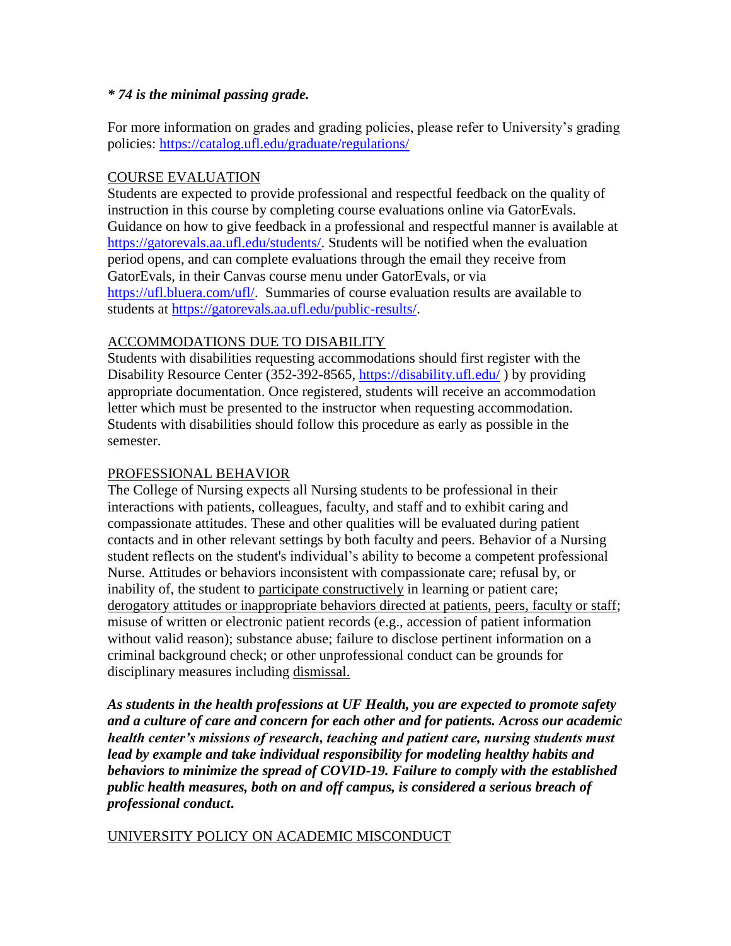### *\* 74 is the minimal passing grade.*

For more information on grades and grading policies, please refer to University's grading policies:<https://catalog.ufl.edu/graduate/regulations/>

### COURSE EVALUATION

Students are expected to provide professional and respectful feedback on the quality of instruction in this course by completing course evaluations online via GatorEvals. Guidance on how to give feedback in a professional and respectful manner is available at [https://gatorevals.aa.ufl.edu/students/.](https://gatorevals.aa.ufl.edu/students/) Students will be notified when the evaluation period opens, and can complete evaluations through the email they receive from GatorEvals, in their Canvas course menu under GatorEvals, or via [https://ufl.bluera.com/ufl/.](https://ufl.bluera.com/ufl/) Summaries of course evaluation results are available to students at [https://gatorevals.aa.ufl.edu/public-results/.](https://gatorevals.aa.ufl.edu/public-results/)

# ACCOMMODATIONS DUE TO DISABILITY

Students with disabilities requesting accommodations should first register with the Disability Resource Center (352-392-8565,<https://disability.ufl.edu/> ) by providing appropriate documentation. Once registered, students will receive an accommodation letter which must be presented to the instructor when requesting accommodation. Students with disabilities should follow this procedure as early as possible in the semester.

# PROFESSIONAL BEHAVIOR

The College of Nursing expects all Nursing students to be professional in their interactions with patients, colleagues, faculty, and staff and to exhibit caring and compassionate attitudes. These and other qualities will be evaluated during patient contacts and in other relevant settings by both faculty and peers. Behavior of a Nursing student reflects on the student's individual's ability to become a competent professional Nurse. Attitudes or behaviors inconsistent with compassionate care; refusal by, or inability of, the student to participate constructively in learning or patient care; derogatory attitudes or inappropriate behaviors directed at patients, peers, faculty or staff; misuse of written or electronic patient records (e.g., accession of patient information without valid reason); substance abuse; failure to disclose pertinent information on a criminal background check; or other unprofessional conduct can be grounds for disciplinary measures including dismissal.

*As students in the health professions at UF Health, you are expected to promote safety and a culture of care and concern for each other and for patients. Across our academic health center's missions of research, teaching and patient care, nursing students must lead by example and take individual responsibility for modeling healthy habits and behaviors to minimize the spread of COVID-19. Failure to comply with the established public health measures, both on and off campus, is considered a serious breach of professional conduct***.** 

# UNIVERSITY POLICY ON ACADEMIC MISCONDUCT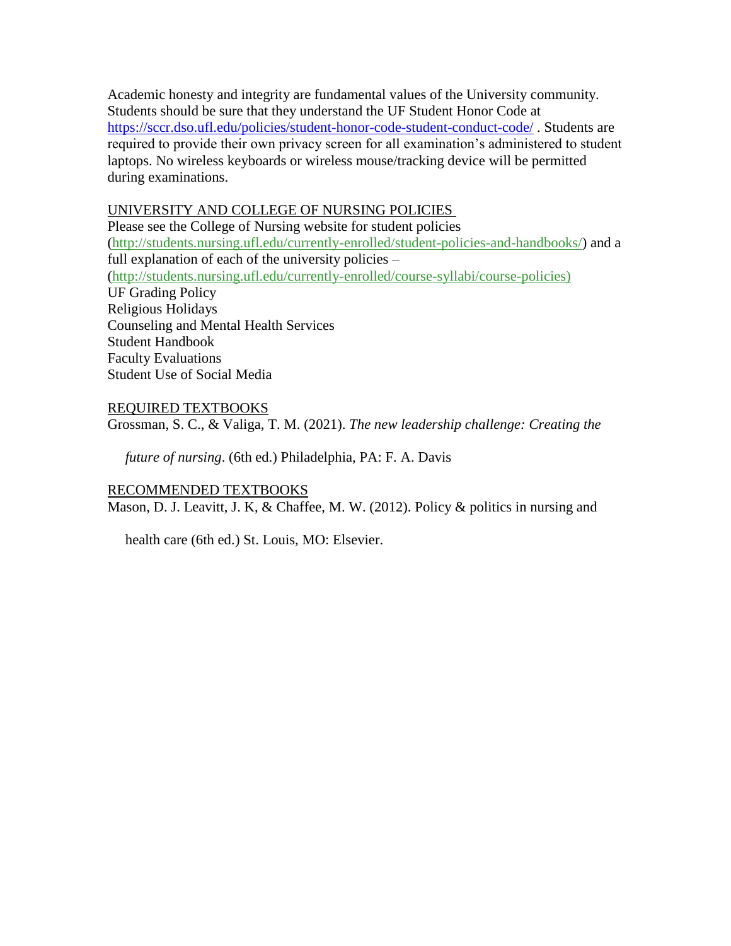Academic honesty and integrity are fundamental values of the University community. Students should be sure that they understand the UF Student Honor Code at <https://sccr.dso.ufl.edu/policies/student-honor-code-student-conduct-code/> . Students are required to provide their own privacy screen for all examination's administered to student laptops. No wireless keyboards or wireless mouse/tracking device will be permitted during examinations.

#### UNIVERSITY AND COLLEGE OF NURSING POLICIES

Please see the College of Nursing website for student policies [\(http://students.nursing.ufl.edu/currently-enrolled/student-policies-and-handbooks/\)](http://students.nursing.ufl.edu/currently-enrolled/student-policies-and-handbooks/) and a full explanation of each of the university policies – [\(http://students.nursing.ufl.edu/currently-enrolled/course-syllabi/course-policies\)](http://students.nursing.ufl.edu/currently-enrolled/course-syllabi/course-policies) UF Grading Policy Religious Holidays Counseling and Mental Health Services Student Handbook Faculty Evaluations Student Use of Social Media

### REQUIRED TEXTBOOKS

Grossman, S. C., & Valiga, T. M. (2021). *The new leadership challenge: Creating the* 

 *future of nursing*. (6th ed.) Philadelphia, PA: F. A. Davis

#### RECOMMENDED TEXTBOOKS

Mason, D. J. Leavitt, J. K, & Chaffee, M. W. (2012). Policy & politics in nursing and

health care (6th ed.) St. Louis, MO: Elsevier.